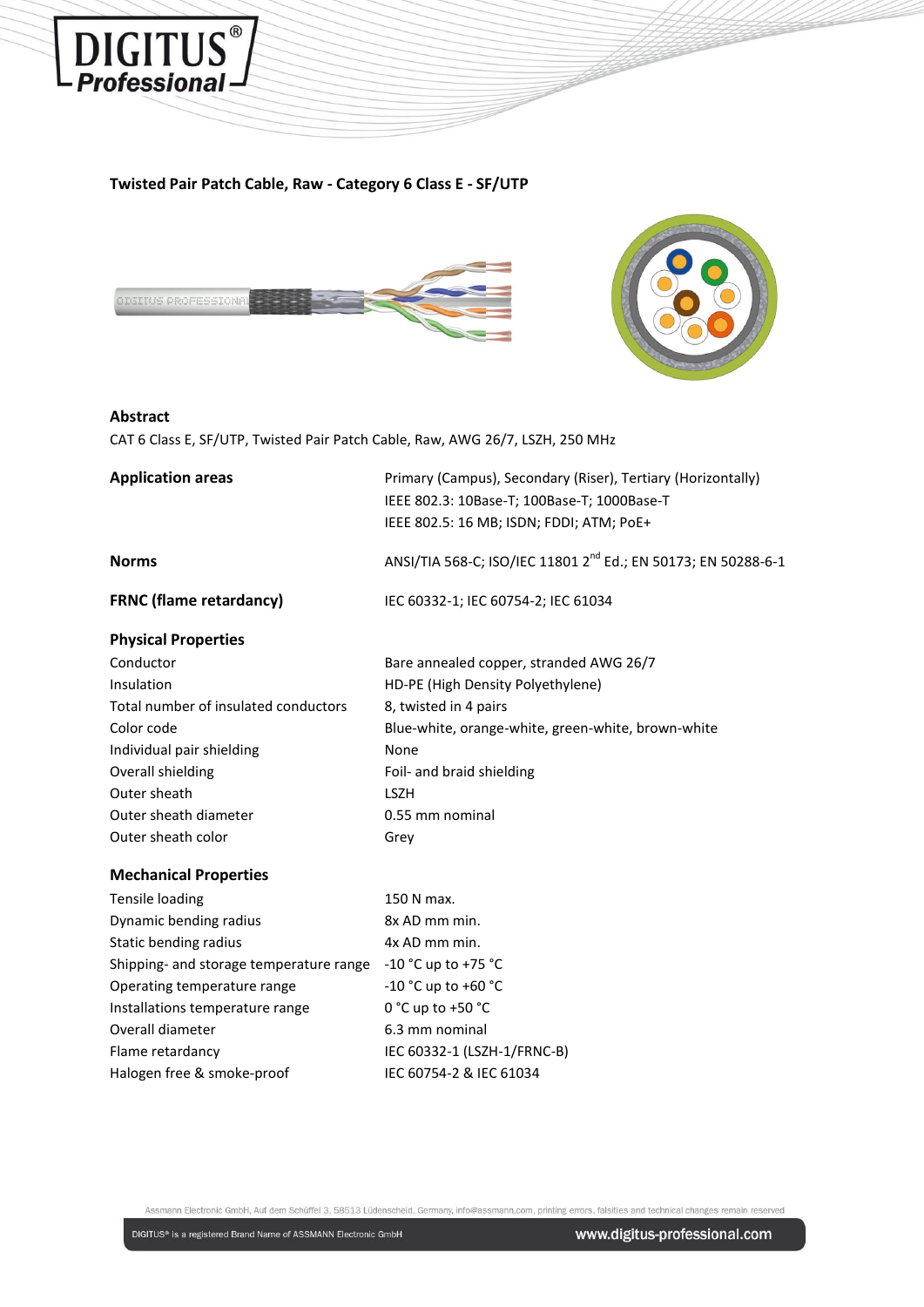

### **Twisted Pair Patch Cable, Raw - Category 6 Class E - SF/UTP**





### **Abstract**

CAT 6 Class E, SF/UTP, Twisted Pair Patch Cable, Raw, AWG 26/7, LSZH, 250 MHz

| <b>Application areas</b>                | Primary (Campus), Secondary (Riser), Tertiary (Horizontally)<br>IEEE 802.3: 10Base-T; 100Base-T; 1000Base-T<br>IEEE 802.5: 16 MB; ISDN; FDDI; ATM; PoE+ |
|-----------------------------------------|---------------------------------------------------------------------------------------------------------------------------------------------------------|
| <b>Norms</b>                            | ANSI/TIA 568-C; ISO/IEC 11801 2 <sup>nd</sup> Ed.; EN 50173; EN 50288-6-1                                                                               |
| <b>FRNC (flame retardancy)</b>          | IEC 60332-1; IEC 60754-2; IEC 61034                                                                                                                     |
| <b>Physical Properties</b>              |                                                                                                                                                         |
| Conductor                               | Bare annealed copper, stranded AWG 26/7                                                                                                                 |
| Insulation                              | HD-PE (High Density Polyethylene)                                                                                                                       |
| Total number of insulated conductors    | 8, twisted in 4 pairs                                                                                                                                   |
| Color code                              | Blue-white, orange-white, green-white, brown-white                                                                                                      |
| Individual pair shielding               | None                                                                                                                                                    |
| Overall shielding                       | Foil- and braid shielding                                                                                                                               |
| Outer sheath                            | <b>LSZH</b>                                                                                                                                             |
| Outer sheath diameter                   | 0.55 mm nominal                                                                                                                                         |
| Outer sheath color                      | Grey                                                                                                                                                    |
| <b>Mechanical Properties</b>            |                                                                                                                                                         |
| <b>Tensile loading</b>                  | 150 N max.                                                                                                                                              |
| Dynamic bending radius                  | 8x AD mm min.                                                                                                                                           |
| Static bending radius                   | 4x AD mm min.                                                                                                                                           |
| Shipping- and storage temperature range | -10 °C up to +75 °C                                                                                                                                     |
| Operating temperature range             | $-10 °C$ up to $+60 °C$                                                                                                                                 |
| Installations temperature range         | 0 °C up to +50 °C                                                                                                                                       |
| Overall diameter                        | 6.3 mm nominal                                                                                                                                          |
| Flame retardancy                        | IEC 60332-1 (LSZH-1/FRNC-B)                                                                                                                             |
| Halogen free & smoke-proof              | IEC 60754-2 & IEC 61034                                                                                                                                 |

Assmann Electronic GmbH, Auf dem Schüffel 3, 58513 Lüdenscheid, Germany, info@assmann.com, printing errors, falsities and technical changes remain reserved